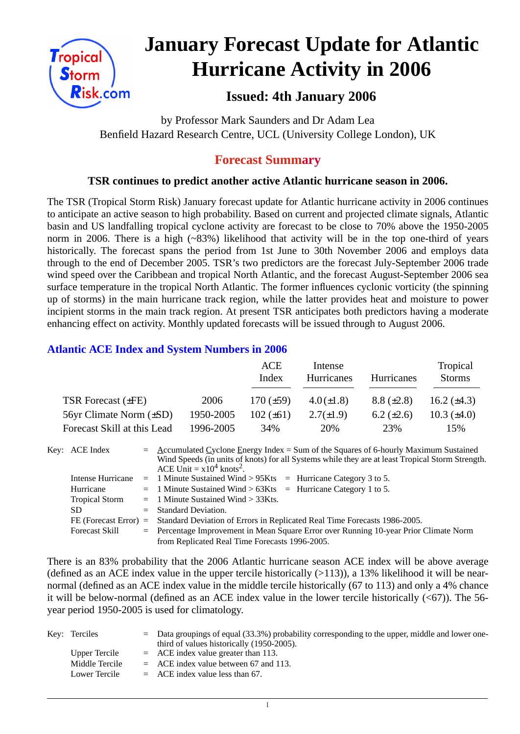

# **January Forecast Update for Atlantic Hurricane Activity in 2006**

# **Issued: 4th January 2006**

by Professor Mark Saunders and Dr Adam Lea Benfield Hazard Research Centre, UCL (University College London), UK

# **Forecast Summary**

#### **TSR continues to predict another active Atlantic hurricane season in 2006.**

The TSR (Tropical Storm Risk) January forecast update for Atlantic hurricane activity in 2006 continues to anticipate an active season to high probability. Based on current and projected climate signals, Atlantic basin and US landfalling tropical cyclone activity are forecast to be close to 70% above the 1950-2005 norm in 2006. There is a high (~83%) likelihood that activity will be in the top one-third of years historically. The forecast spans the period from 1st June to 30th November 2006 and employs data through to the end of December 2005. TSR's two predictors are the forecast July-September 2006 trade wind speed over the Caribbean and tropical North Atlantic, and the forecast August-September 2006 sea surface temperature in the tropical North Atlantic. The former influences cyclonic vorticity (the spinning up of storms) in the main hurricane track region, while the latter provides heat and moisture to power incipient storms in the main track region. At present TSR anticipates both predictors having a moderate enhancing effect on activity. Monthly updated forecasts will be issued through to August 2006.

### **Atlantic ACE Index and System Numbers in 2006**

|                                |           | ACE<br>Index   | Intense<br>Hurricanes | <b>Hurricanes</b> | Tropical<br><b>Storms</b> |
|--------------------------------|-----------|----------------|-----------------------|-------------------|---------------------------|
| TSR Forecast $(\pm FE)$        | 2006      | $170 (\pm 59)$ | $4.0(\pm 1.8)$        | $8.8 (\pm 2.8)$   | 16.2 $(\pm 4.3)$          |
| $56yr$ Climate Norm $(\pm SD)$ | 1950-2005 | $102 (\pm 61)$ | $2.7(\pm 1.9)$        | $6.2 \ (\pm 2.6)$ | $10.3 \ (\pm 4.0)$        |
| Forecast Skill at this Lead    | 1996-2005 | 34%            | 20%                   | 23%               | 15%                       |

| Key: ACE Index        | $=$ Accumulated Cyclone Energy Index = Sum of the Squares of 6-hourly Maximum Sustained          |  |  |  |  |  |
|-----------------------|--------------------------------------------------------------------------------------------------|--|--|--|--|--|
|                       | Wind Speeds (in units of knots) for all Systems while they are at least Tropical Storm Strength. |  |  |  |  |  |
|                       | ACE Unit = $x10^4$ knots <sup>2</sup> .                                                          |  |  |  |  |  |
|                       | Intense Hurricane $= 1$ Minute Sustained Wind > 95Kts $=$ Hurricane Category 3 to 5.             |  |  |  |  |  |
| Hurricane             | $=$ 1 Minute Sustained Wind > 63Kts = Hurricane Category 1 to 5.                                 |  |  |  |  |  |
| <b>Tropical Storm</b> | $=$ 1 Minute Sustained Wind $>$ 33Kts.                                                           |  |  |  |  |  |
| SD.                   | $=$ Standard Deviation.                                                                          |  |  |  |  |  |
|                       | FE (Forecast Error) = Standard Deviation of Errors in Replicated Real Time Forecasts 1986-2005.  |  |  |  |  |  |
| <b>Forecast Skill</b> | = Percentage Improvement in Mean Square Error over Running 10-year Prior Climate Norm            |  |  |  |  |  |
|                       | from Replicated Real Time Forecasts 1996-2005.                                                   |  |  |  |  |  |

There is an 83% probability that the 2006 Atlantic hurricane season ACE index will be above average (defined as an ACE index value in the upper tercile historically  $(>113)$ ), a 13% likelihood it will be nearnormal (defined as an ACE index value in the middle tercile historically (67 to 113) and only a 4% chance it will be below-normal (defined as an ACE index value in the lower tercile historically  $( $67$ )$ ). The 56year period 1950-2005 is used for climatology.

| Key: Terciles  | $\epsilon$ Data groupings of equal (33.3%) probability corresponding to the upper, middle and lower one-<br>third of values historically (1950-2005). |
|----------------|-------------------------------------------------------------------------------------------------------------------------------------------------------|
| Upper Tercile  | $=$ ACE index value greater than 113.                                                                                                                 |
| Middle Tercile | $=$ ACE index value between 67 and 113.                                                                                                               |
| Lower Tercile  | $=$ ACE index value less than 67.                                                                                                                     |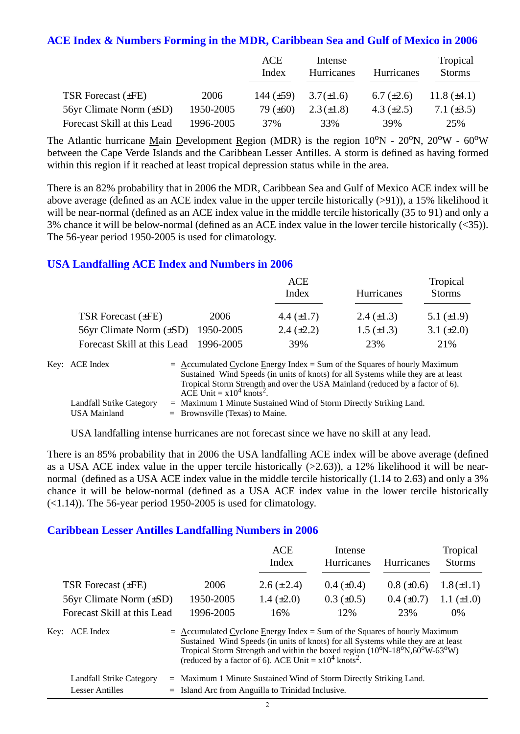#### **ACE Index & Numbers Forming in the MDR, Caribbean Sea and Gulf of Mexico in 2006**

|                              |           | ACE<br>Index   | Intense<br>Hurricanes | Hurricanes      | Tropical<br><b>Storms</b> |
|------------------------------|-----------|----------------|-----------------------|-----------------|---------------------------|
| TSR Forecast $(\pm FE)$      | 2006      | 144 $(\pm 59)$ | $3.7(\pm 1.6)$        | 6.7 $(\pm 2.6)$ | 11.8 $(\pm 4.1)$          |
| 56yr Climate Norm $(\pm SD)$ | 1950-2005 | 79 $(\pm 60)$  | $2.3(\pm 1.8)$        | 4.3 $(\pm 2.5)$ | 7.1 $(\pm 3.5)$           |
| Forecast Skill at this Lead  | 1996-2005 | 37%            | 33%                   | 39%             | 25%                       |

The Atlantic hurricane Main Development Region (MDR) is the region  $10^{\circ}N - 20^{\circ}N$ ,  $20^{\circ}W - 60^{\circ}W$ between the Cape Verde Islands and the Caribbean Lesser Antilles. A storm is defined as having formed within this region if it reached at least tropical depression status while in the area.

There is an 82% probability that in 2006 the MDR, Caribbean Sea and Gulf of Mexico ACE index will be above average (defined as an ACE index value in the upper tercile historically (>91)), a 15% likelihood it will be near-normal (defined as an ACE index value in the middle tercile historically (35 to 91) and only a 3% chance it will be below-normal (defined as an ACE index value in the lower tercile historically (<35)). The 56-year period 1950-2005 is used for climatology.

#### **USA Landfalling ACE Index and Numbers in 2006**

|                                       |      | <b>ACE</b><br>Index | Hurricanes        | Tropical<br><b>Storms</b> |
|---------------------------------------|------|---------------------|-------------------|---------------------------|
| TSR Forecast $(\pm FE)$               | 2006 | 4.4 $(\pm 1.7)$     | 2.4 $(\pm 1.3)$   | 5.1 $(\pm 1.9)$           |
| 56yr Climate Norm (±SD) 1950-2005     |      | $2.4 \ (\pm 2.2)$   | $1.5 \ (\pm 1.3)$ | 3.1 $(\pm 2.0)$           |
| Forecast Skill at this Lead 1996-2005 |      | 39%                 | 23%               | 21%                       |

| Key: ACE Index           | $=$ Accumulated Cyclone Energy Index $=$ Sum of the Squares of hourly Maximum     |
|--------------------------|-----------------------------------------------------------------------------------|
|                          | Sustained Wind Speeds (in units of knots) for all Systems while they are at least |
|                          | Tropical Storm Strength and over the USA Mainland (reduced by a factor of 6).     |
|                          | ACE Unit = $x10^4$ knots <sup>2</sup> .                                           |
| Landfall Strike Category | $=$ Maximum 1 Minute Sustained Wind of Storm Directly Striking Land.              |
| USA Mainland             | $=$ Brownsville (Texas) to Maine.                                                 |

USA landfalling intense hurricanes are not forecast since we have no skill at any lead.

There is an 85% probability that in 2006 the USA landfalling ACE index will be above average (defined as a USA ACE index value in the upper tercile historically  $(>2.63)$ ), a 12% likelihood it will be nearnormal (defined as a USA ACE index value in the middle tercile historically (1.14 to 2.63) and only a 3% chance it will be below-normal (defined as a USA ACE index value in the lower tercile historically  $(\le 1.14)$ ). The 56-year period 1950-2005 is used for climatology.

#### **Caribbean Lesser Antilles Landfalling Numbers in 2006**

|                              |                                                                                     | <b>ACE</b><br>Index                                                                                                                                                                                                                                              | Intense<br><b>Hurricanes</b> | Hurricanes      | Tropical<br><b>Storms</b> |
|------------------------------|-------------------------------------------------------------------------------------|------------------------------------------------------------------------------------------------------------------------------------------------------------------------------------------------------------------------------------------------------------------|------------------------------|-----------------|---------------------------|
| TSR Forecast (±FE)           | 2006                                                                                | $2.6 (\pm 2.4)$                                                                                                                                                                                                                                                  | $0.4~(\pm 0.4)$              | $0.8 (\pm 0.6)$ | $1.8(\pm 1.1)$            |
| 56yr Climate Norm $(\pm SD)$ | 1950-2005                                                                           | 1.4 $(\pm 2.0)$                                                                                                                                                                                                                                                  | $0.3 \ (\pm 0.5)$            | $0.4~(\pm 0.7)$ | $1.1 (\pm 1.0)$           |
| Forecast Skill at this Lead  | 1996-2005                                                                           | 16%                                                                                                                                                                                                                                                              | 12%                          | 23%             | $0\%$                     |
| Key: ACE Index               | $=$ $\Delta$ ccumulated Cyclone Energy Index = Sum of the Squares of hourly Maximum | Sustained Wind Speeds (in units of knots) for all Systems while they are at least<br>Tropical Storm Strength and within the boxed region $(10^{\circ}N-18^{\circ}N,60^{\circ}W-63^{\circ}W)$ (reduced by a factor of 6). ACE Unit = $x10^4$ knots <sup>2</sup> . |                              |                 |                           |

| Landfall Strike Category | = Maximum 1 Minute Sustained Wind of Storm Directly Striking Land. |
|--------------------------|--------------------------------------------------------------------|
| Lesser Antilles          | $=$ Island Arc from Anguilla to Trinidad Inclusive.                |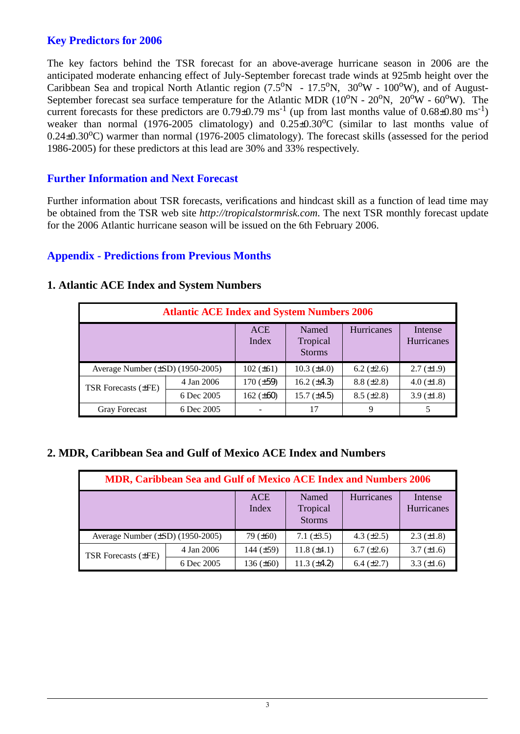### **Key Predictors for 2006**

The key factors behind the TSR forecast for an above-average hurricane season in 2006 are the anticipated moderate enhancing effect of July-September forecast trade winds at 925mb height over the Caribbean Sea and tropical North Atlantic region  $(7.5^{\circ}N - 17.5^{\circ}N, 30^{\circ}W - 100^{\circ}W)$ , and of August-September forecast sea surface temperature for the Atlantic MDR ( $10^{\circ}$ N -  $20^{\circ}$ N,  $20^{\circ}$ W -  $60^{\circ}$ W). The current forecasts for these predictors are  $0.79 \pm 0.79$  ms<sup>-1</sup> (up from last months value of  $0.68 \pm 0.80$  ms<sup>-1</sup>) weaker than normal (1976-2005 climatology) and  $0.25\pm0.30\degree$ C (similar to last months value of  $0.24\pm0.30^{\circ}$ C) warmer than normal (1976-2005 climatology). The forecast skills (assessed for the period 1986-2005) for these predictors at this lead are 30% and 33% respectively.

#### **Further Information and Next Forecast**

Further information about TSR forecasts, verifications and hindcast skill as a function of lead time may be obtained from the TSR web site *http://tropicalstormrisk.com*. The next TSR monthly forecast update for the 2006 Atlantic hurricane season will be issued on the 6th February 2006.

#### **Appendix - Predictions from Previous Months**

| <b>Atlantic ACE Index and System Numbers 2006</b> |                     |                                    |                    |                              |                   |  |
|---------------------------------------------------|---------------------|------------------------------------|--------------------|------------------------------|-------------------|--|
|                                                   | <b>ACE</b><br>Index | Named<br>Tropical<br><b>Storms</b> | Hurricanes         | Intense<br><b>Hurricanes</b> |                   |  |
| Average Number $(\pm SD)$ (1950-2005)             |                     | $102 (\pm 61)$                     | $10.3 \ (\pm 4.0)$ | $6.2 (\pm 2.6)$              | $2.7 (\pm 1.9)$   |  |
| <b>TSR Forecasts (±FE)</b>                        | 4 Jan 2006          | $170 (\pm 59)$                     | 16.2 $(\pm 4.3)$   | $8.8 (\pm 2.8)$              | 4.0 $(\pm 1.8)$   |  |
|                                                   | 6 Dec 2005          | 162 $(\pm 60)$                     | $15.7 (\pm 4.5)$   | $8.5 (\pm 2.8)$              | $3.9 \ (\pm 1.8)$ |  |
| <b>Gray Forecast</b>                              | 6 Dec 2005          |                                    | 17                 | 9                            |                   |  |

#### **1. Atlantic ACE Index and System Numbers**

#### **2. MDR, Caribbean Sea and Gulf of Mexico ACE Index and Numbers**

| MDR, Caribbean Sea and Gulf of Mexico ACE Index and Numbers 2006 |                     |                                    |                    |                       |                   |
|------------------------------------------------------------------|---------------------|------------------------------------|--------------------|-----------------------|-------------------|
|                                                                  | <b>ACE</b><br>Index | Named<br>Tropical<br><b>Storms</b> | Hurricanes         | Intense<br>Hurricanes |                   |
| Average Number $(\pm SD)$ (1950-2005)                            |                     | 79 $(\pm 60)$                      | 7.1 $(\pm 3.5)$    | 4.3 $(\pm 2.5)$       | $2.3 \ (\pm 1.8)$ |
| <b>TSR Forecasts (±FE)</b>                                       | 4 Jan 2006          | 144 $(\pm 59)$                     | $11.8 (\pm 4.1)$   | $6.7 (\pm 2.6)$       | $3.7 (\pm 1.6)$   |
|                                                                  | 6 Dec 2005          | $136 (\pm 60)$                     | $11.3 \ (\pm 4.2)$ | $6.4 (\pm 2.7)$       | $3.3 (\pm 1.6)$   |